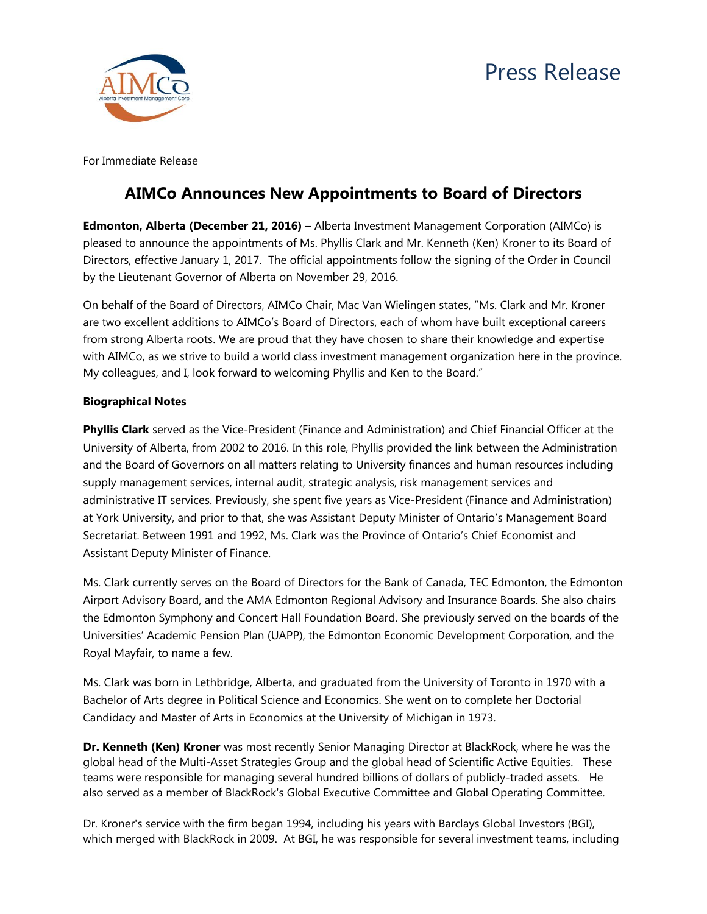



For Immediate Release

## **AIMCo Announces New Appointments to Board of Directors**

**Edmonton, Alberta (December 21, 2016) –** Alberta Investment Management Corporation (AIMCo) is pleased to announce the appointments of Ms. Phyllis Clark and Mr. Kenneth (Ken) Kroner to its Board of Directors, effective January 1, 2017. The official appointments follow the signing of the Order in Council by the Lieutenant Governor of Alberta on November 29, 2016.

On behalf of the Board of Directors, AIMCo Chair, Mac Van Wielingen states, "Ms. Clark and Mr. Kroner are two excellent additions to AIMCo's Board of Directors, each of whom have built exceptional careers from strong Alberta roots. We are proud that they have chosen to share their knowledge and expertise with AIMCo, as we strive to build a world class investment management organization here in the province. My colleagues, and I, look forward to welcoming Phyllis and Ken to the Board."

## **Biographical Notes**

**Phyllis Clark** served as the Vice-President (Finance and Administration) and Chief Financial Officer at the University of Alberta, from 2002 to 2016. In this role, Phyllis provided the link between the Administration and the Board of Governors on all matters relating to University finances and human resources including supply management services, internal audit, strategic analysis, risk management services and administrative IT services. Previously, she spent five years as Vice-President (Finance and Administration) at York University, and prior to that, she was Assistant Deputy Minister of Ontario's Management Board Secretariat. Between 1991 and 1992, Ms. Clark was the Province of Ontario's Chief Economist and Assistant Deputy Minister of Finance.

Ms. Clark currently serves on the Board of Directors for the Bank of Canada, TEC Edmonton, the Edmonton Airport Advisory Board, and the AMA Edmonton Regional Advisory and Insurance Boards. She also chairs the Edmonton Symphony and Concert Hall Foundation Board. She previously served on the boards of the Universities' Academic Pension Plan (UAPP), the Edmonton Economic Development Corporation, and the Royal Mayfair, to name a few.

Ms. Clark was born in Lethbridge, Alberta, and graduated from the University of Toronto in 1970 with a Bachelor of Arts degree in Political Science and Economics. She went on to complete her Doctorial Candidacy and Master of Arts in Economics at the University of Michigan in 1973.

**Dr. Kenneth (Ken) Kroner** was most recently Senior Managing Director at BlackRock, where he was the global head of the Multi-Asset Strategies Group and the global head of Scientific Active Equities. These teams were responsible for managing several hundred billions of dollars of publicly-traded assets. He also served as a member of BlackRock's Global Executive Committee and Global Operating Committee.

Dr. Kroner's service with the firm began 1994, including his years with Barclays Global Investors (BGI), which merged with BlackRock in 2009. At BGI, he was responsible for several investment teams, including